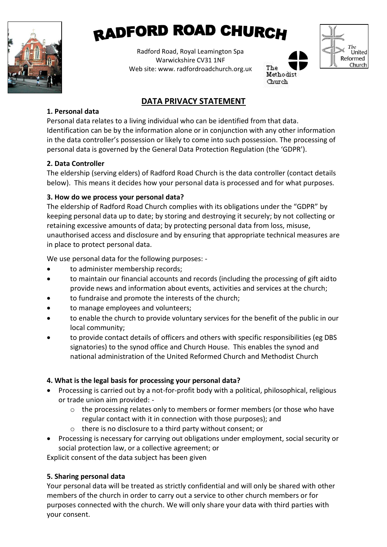

# **RADFORD ROAD CHURCH**

Radford Road, Royal Leamington Spa Warwickshire CV31 1NF Web site: www. radfordroadchurch.org.uk





## **DATA PRIVACY STATEMENT**

#### **1. Personal data**

Personal data relates to a living individual who can be identified from that data. Identification can be by the information alone or in conjunction with any other information in the data controller's possession or likely to come into such possession. The processing of personal data is governed by the General Data Protection Regulation (the 'GDPR').

## **2. Data Controller**

The eldership (serving elders) of Radford Road Church is the data controller (contact details below). This means it decides how your personal data is processed and for what purposes.

## **3. How do we process your personal data?**

The eldership of Radford Road Church complies with its obligations under the "GDPR" by keeping personal data up to date; by storing and destroying it securely; by not collecting or retaining excessive amounts of data; by protecting personal data from loss, misuse, unauthorised access and disclosure and by ensuring that appropriate technical measures are in place to protect personal data.

We use personal data for the following purposes: -

- to administer membership records;
- to maintain our financial accounts and records (including the processing of gift aidto provide news and information about events, activities and services at the church;
- to fundraise and promote the interests of the church;
- to manage employees and volunteers;
- to enable the church to provide voluntary services for the benefit of the public in our local community;
- to provide contact details of officers and others with specific responsibilities (eg DBS signatories) to the synod office and Church House. This enables the synod and national administration of the United Reformed Church and Methodist Church

## **4. What is the legal basis for processing your personal data?**

- Processing is carried out by a not-for-profit body with a political, philosophical, religious or trade union aim provided:
	- o the processing relates only to members or former members (or those who have regular contact with it in connection with those purposes); and
	- o there is no disclosure to a third party without consent; or
- Processing is necessary for carrying out obligations under employment, social security or social protection law, or a collective agreement; or

Explicit consent of the data subject has been given

## **5. Sharing personal data**

Your personal data will be treated as strictly confidential and will only be shared with other members of the church in order to carry out a service to other church members or for purposes connected with the church. We will only share your data with third parties with your consent.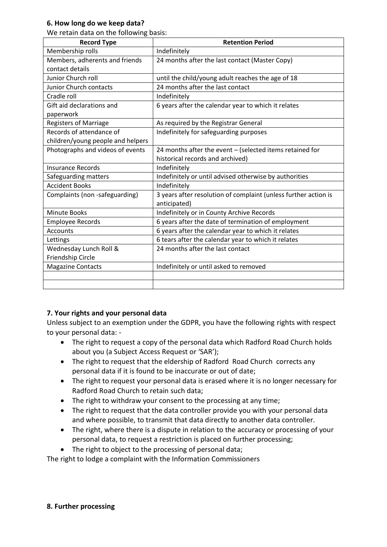#### **6. How long do we keep data?**

We retain data on the following basis:

| <b>Record Type</b>                        | <b>Retention Period</b>                                                         |
|-------------------------------------------|---------------------------------------------------------------------------------|
| Membership rolls                          | Indefinitely                                                                    |
| Members, adherents and friends            | 24 months after the last contact (Master Copy)                                  |
| contact details                           |                                                                                 |
| Junior Church roll                        | until the child/young adult reaches the age of 18                               |
| Junior Church contacts                    | 24 months after the last contact                                                |
| Cradle roll                               | Indefinitely                                                                    |
| Gift aid declarations and                 | 6 years after the calendar year to which it relates                             |
| paperwork<br><b>Registers of Marriage</b> | As required by the Registrar General                                            |
| Records of attendance of                  | Indefinitely for safeguarding purposes                                          |
| children/young people and helpers         |                                                                                 |
| Photographs and videos of events          | 24 months after the event - (selected items retained for                        |
|                                           | historical records and archived)                                                |
| Insurance Records                         | Indefinitely                                                                    |
| Safeguarding matters                      | Indefinitely or until advised otherwise by authorities                          |
| <b>Accident Books</b>                     | Indefinitely                                                                    |
| Complaints (non -safeguarding)            | 3 years after resolution of complaint (unless further action is<br>anticipated) |
| <b>Minute Books</b>                       | Indefinitely or in County Archive Records                                       |
| <b>Employee Records</b>                   | 6 years after the date of termination of employment                             |
| Accounts                                  | 6 years after the calendar year to which it relates                             |
| Lettings                                  | 6 tears after the calendar year to which it relates                             |
| Wednesday Lunch Roll &                    | 24 months after the last contact                                                |
| Friendship Circle                         |                                                                                 |
| <b>Magazine Contacts</b>                  | Indefinitely or until asked to removed                                          |
|                                           |                                                                                 |
|                                           |                                                                                 |

#### **7. Your rights and your personal data**

Unless subject to an exemption under the GDPR, you have the following rights with respect to your personal data: -

- The right to request a copy of the personal data which Radford Road Church holds about you (a Subject Access Request or 'SAR');
- The right to request that the eldership of Radford Road Church corrects any personal data if it is found to be inaccurate or out of date;
- The right to request your personal data is erased where it is no longer necessary for Radford Road Church to retain such data;
- The right to withdraw your consent to the processing at any time;
- The right to request that the data controller provide you with your personal data and where possible, to transmit that data directly to another data controller.
- The right, where there is a dispute in relation to the accuracy or processing of your personal data, to request a restriction is placed on further processing;
- The right to object to the processing of personal data;

The right to lodge a complaint with the Information Commissioners